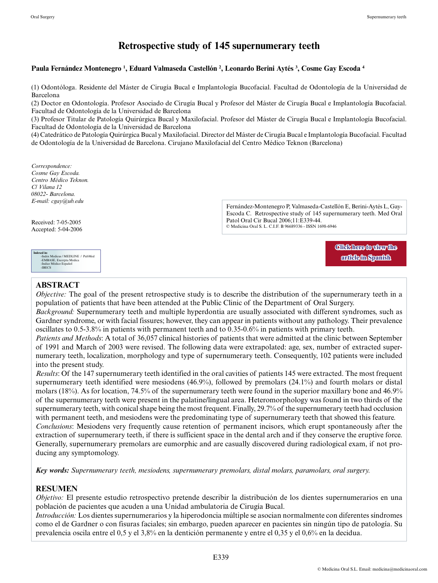# **Retrospective study of 145 supernumerary teeth**

#### **Paula Fernández Montenegro 1 , Eduard Valmaseda Castellón 2 , Leonardo Berini Aytés 3 , Cosme Gay Escoda 4**

(1) Odontóloga. Residente del Máster de Cirugía Bucal e Implantología Bucofacial. Facultad de Odontología de la Universidad de Barcelona

(2) Doctor en Odontología. Profesor Asociado de Cirugía Bucal y Profesor del Máster de Cirugía Bucal e Implantología Bucofacial. Facultad de Odontología de la Universidad de Barcelona

(3) Profesor Titular de Patología Quirúrgica Bucal y Maxilofacial. Profesor del Máster de Cirugía Bucal e Implantología Bucofacial. Facultad de Odontología de la Universidad de Barcelona

(4) Catedrático de Patología Quirúrgica Bucal y Maxilofacial. Director del Máster de Cirugía Bucal e Implantología Bucofacial. Facultad de Odontología de la Universidad de Barcelona. Cirujano Maxilofacial del Centro Médico Teknon (Barcelona)

*Correspondence: Cosme Gay Escoda. Centro Médico Teknon. C/ Vilana 12 08022- Barcelona. E-mail: cgay@ub.edu*

Received: 7-05-2005 Accepted: 5-04-2006 Fernández-Montenegro P, Valmaseda-Castellón E, Berini-Aytés L, Gay-Escoda C. Retrospective study of 145 supernumerary teeth. Med Oral Patol Oral Cir Bucal 2006;11:E339-44. © Medicina Oral S. L. C.I.F. B 96689336 - ISSN 1698-6946

> **[Click here to view the](http://www.medicinaoral.com/medoralfree01/v11i4/medoralv11i4p339e.pdf)  [article in Spanish](http://www.medicinaoral.com/medoralfree01/v11i4/medoralv11i4p339e.pdf)**

# **ABSTRACT**

**Indexed in:**<br>
-Index Medicus / MEDLINE / PubMed<br>
-EMBASE, Excerpta Medica<br>
-Indice Médico Español<br>
-IBECS

*Objective:* The goal of the present retrospective study is to describe the distribution of the supernumerary teeth in a population of patients that have been attended at the Public Clinic of the Department of Oral Surgery.

*Background:* Supernumerary teeth and multiple hyperdontia are usually associated with different syndromes, such as Gardner syndrome, or with facial fissures; however, they can appear in patients without any pathology. Their prevalence oscillates to 0.5-3.8% in patients with permanent teeth and to 0.35-0.6% in patients with primary teeth.

*Patients and Methods*: A total of 36,057 clinical histories of patients that were admitted at the clinic between September of 1991 and March of 2003 were revised. The following data were extrapolated: age, sex, number of extracted supernumerary teeth, localization, morphology and type of supernumerary teeth. Consequently, 102 patients were included into the present study.

*Results*: Of the 147 supernumerary teeth identified in the oral cavities of patients 145 were extracted. The most frequent supernumerary teeth identified were mesiodens (46.9%), followed by premolars (24.1%) and fourth molars or distal molars (18%). As for location, 74.5% of the supernumerary teeth were found in the superior maxillary bone and 46.9% of the supernumerary teeth were present in the palatine/lingual area. Heteromorphology was found in two thirds of the supernumerary teeth, with conical shape being the most frequent. Finally, 29.7% of the supernumerary teeth had occlusion with permanent teeth, and mesiodens were the predominating type of supernumerary teeth that showed this feature. *Conclusions*: Mesiodens very frequently cause retention of permanent incisors, which erupt spontaneously after the extraction of supernumerary teeth, if there is sufficient space in the dental arch and if they conserve the eruptive force. Generally, supernumerary premolars are eumorphic and are casually discovered during radiological exam, if not producing any symptomology.

*Key words: Supernumerary teeth, mesiodens, supernumerary premolars, distal molars, paramolars, oral surgery.*

# **RESUMEN**

*Objetivo:* El presente estudio retrospectivo pretende describir la distribución de los dientes supernumerarios en una población de pacientes que acuden a una Unidad ambulatoria de Cirugía Bucal.

*Introducción:* Los dientes supernumerarios y la hiperodoncia múltiple se asocian normalmente con diferentes síndromes como el de Gardner o con fisuras faciales; sin embargo, pueden aparecer en pacientes sin ningún tipo de patología. Su prevalencia oscila entre el 0,5 y el 3,8% en la dentición permanente y entre el 0,35 y el 0,6% en la decidua.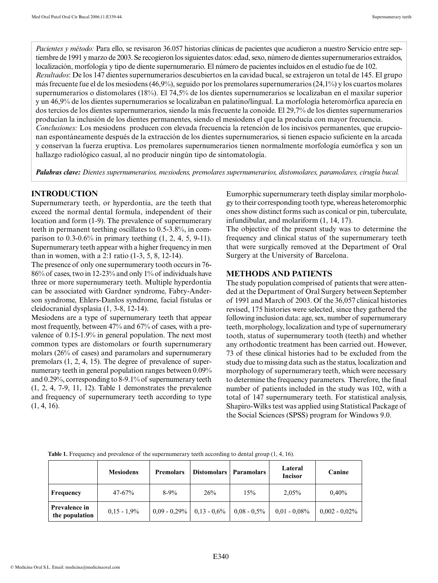*Pacientes y método:* Para ello, se revisaron 36.057 historias clínicas de pacientes que acudieron a nuestro Servicio entre septiembre de 1991 y marzo de 2003. Se recogieron los siguientes datos: edad, sexo, número de dientes supernumerarios extraídos, localización, morfología y tipo de diente supernumerario. El número de pacientes incluidos en el estudio fue de 102. *Resultados*: De los 147 dientes supernumerarios descubiertos en la cavidad bucal, se extrajeron un total de 145. El grupo más frecuente fue el de los mesiodens (46,9%), seguido por los premolares supernumerarios (24,1%) y los cuartos molares supernumerarios o distomolares (18%). El 74,5% de los dientes supernumerarios se localizaban en el maxilar superior y un 46,9% de los dientes supernumerarios se localizaban en palatino/lingual. La morfología heteromórfica aparecía en dos tercios de los dientes supernumerarios, siendo la más frecuente la conoide. El 29,7% de los dientes supernumerarios producían la inclusión de los dientes permanentes, siendo el mesiodens el que la producía con mayor frecuencia. *Conclusiones:* Los mesiodens producen con elevada frecuencia la retención de los incisivos permanentes, que erupcionan espontáneamente después de la extracción de los dientes supernumerarios, si tienen espacio suficiente en la arcada y conservan la fuerza eruptiva. Los premolares supernumerarios tienen normalmente morfología eumórfica y son un hallazgo radiológico casual, al no producir ningún tipo de sintomatología.

*Palabras clave: Dientes supernumerarios, mesiodens, premolares supernumerarios, distomolares, paramolares, cirugía bucal.*

### **INTRODUCTION**

Supernumerary teeth, or hyperdontia, are the teeth that exceed the normal dental formula, independent of their location and form (1-9). The prevalence of supernumerary teeth in permanent teething oscillates to 0.5-3.8%, in comparison to 0.3-0.6% in primary teething (1, 2, 4, 5, 9-11). Supernumerary teeth appear with a higher frequency in men than in women, with a 2:1 ratio (1-3, 5, 8, 12-14).

The presence of only one supernumerary tooth occurs in 76- 86% of cases, two in 12-23% and only 1% of individuals have three or more supernumerary teeth. Multiple hyperdontia can be associated with Gardner syndrome, Fabry-Anderson syndrome, Ehlers-Danlos syndrome, facial fistulas or cleidocranial dysplasia (1, 3-8, 12-14).

Mesiodens are a type of supernumerary teeth that appear most frequently, between 47% and 67% of cases, with a prevalence of 0.15-1.9% in general population. The next most common types are distomolars or fourth supernumerary molars (26% of cases) and paramolars and supernumerary premolars (1, 2, 4, 15). The degree of prevalence of supernumerary teeth in general population ranges between 0.09% and 0.29%, corresponding to 8-9.1% of supernumerary teeth (1, 2, 4, 7-9, 11, 12). Table 1 demonstrates the prevalence and frequency of supernumerary teeth according to type  $(1, 4, 16)$ .

Eumorphic supernumerary teeth display similar morphology to their corresponding tooth type, whereas heteromorphic ones show distinct forms such as conical or pin, tuberculate, infundibular, and molariform (1, 14, 17).

The objective of the present study was to determine the frequency and clinical status of the supernumerary teeth that were surgically removed at the Department of Oral Surgery at the University of Barcelona.

### **METHODS AND PATIENTS**

The study population comprised of patients that were attended at the Department of Oral Surgery between September of 1991 and March of 2003. Of the 36,057 clinical histories revised, 175 histories were selected, since they gathered the following inclusion data: age, sex, number of supernumerary teeth, morphology, localization and type of supernumerary tooth, status of supernumerary tooth (teeth) and whether any orthodontic treatment has been carried out. However, 73 of these clinical histories had to be excluded from the study due to missing data such as the status, localization and morphology of supernumerary teeth, which were necessary to determine the frequency parameters. Therefore, the final number of patients included in the study was 102, with a total of 147 supernumerary teeth. For statistical analysis, Shapiro-Wilks test was applied using Statistical Package of the Social Sciences (SPSS) program for Windows 9.0.

|                                 | <b>Mesiodens</b> | <b>Premolars</b> | <b>Distomolars</b> | Paramolars     | Lateral<br><b>Incisor</b> | Canine           |  |
|---------------------------------|------------------|------------------|--------------------|----------------|---------------------------|------------------|--|
| Frequency                       | $47 - 67%$       | $8-9\%$          | 26%                | 15%            | 2,05%                     | $0.40\%$         |  |
| Prevalence in<br>the population | $0.15 - 1.9\%$   | $0.09 - 0.29\%$  | $0.13 - 0.6\%$     | $0,08 - 0,5\%$ | $0.01$ - $0.08\%$         | $0.002 - 0.02\%$ |  |

**Table 1.** Frequency and prevalence of the supernumerary teeth according to dental group (1, 4, 16).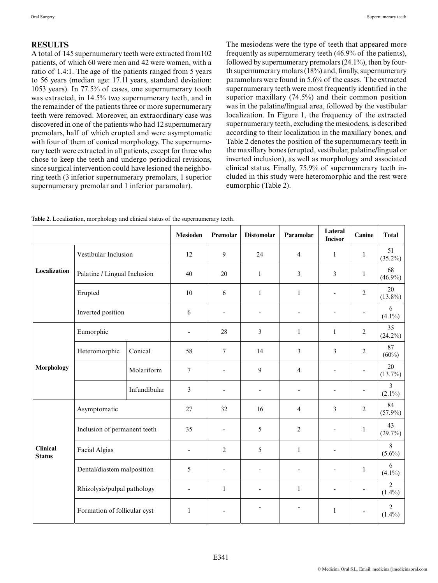# **RESULTS**

A total of 145 supernumerary teeth were extracted from102 patients, of which 60 were men and 42 were women, with a ratio of 1.4:1. The age of the patients ranged from 5 years to 56 years (median age: 17.1l years, standard deviation: 1053 years). In 77.5% of cases, one supernumerary tooth was extracted, in 14.5% two supernumerary teeth, and in the remainder of the patients three or more supernumerary teeth were removed. Moreover, an extraordinary case was discovered in one of the patients who had 12 supernumerary premolars, half of which erupted and were asymptomatic with four of them of conical morphology. The supernumerary teeth were extracted in all patients, except for three who chose to keep the teeth and undergo periodical revisions, since surgical intervention could have lesioned the neighboring teeth (3 inferior supernumerary premolars, 1 superior supernumerary premolar and 1 inferior paramolar).

The mesiodens were the type of teeth that appeared more frequently as supernumerary teeth (46.9% of the patients), followed by supernumerary premolars (24.1%), then by fourth supernumerary molars (18%) and, finally, supernumerary paramolars were found in 5.6% of the cases. The extracted supernumerary teeth were most frequently identified in the superior maxillary (74.5%) and their common position was in the palatine/lingual area, followed by the vestibular localization. In Figure 1, the frequency of the extracted supernumerary teeth, excluding the mesiodens, is described according to their localization in the maxillary bones, and Table 2 denotes the position of the supernumerary teeth in the maxillary bones (erupted, vestibular, palatine/lingual or inverted inclusion), as well as morphology and associated clinical status. Finally, 75.9% of supernumerary teeth included in this study were heteromorphic and the rest were eumorphic (Table 2).

|                                  |                              |              | <b>Mesioden</b>          | Premolar                     | <b>Distomolar</b>        | Paramolar                | Lateral<br><b>Incisor</b>    | Canine         | <b>Total</b>                |
|----------------------------------|------------------------------|--------------|--------------------------|------------------------------|--------------------------|--------------------------|------------------------------|----------------|-----------------------------|
|                                  | Vestibular Inclusion         |              | 12                       | 9                            | 24                       | $\overline{4}$           | 1                            | $\mathbf{1}$   | 51<br>$(35.2\%)$            |
| Localization                     | Palatine / Lingual Inclusion |              | 40                       | 20                           | 1                        | 3                        | 3                            | $\mathbf{1}$   | 68<br>$(46.9\%)$            |
|                                  | Erupted                      |              | $10\,$                   | 6                            | $\mathbf{1}$             | 1                        | $\overline{a}$               | $\overline{c}$ | 20<br>$(13.8\%)$            |
|                                  | Inverted position            |              | 6                        | $\overline{a}$               | $\overline{\phantom{0}}$ | $\overline{a}$           | $\qquad \qquad \blacksquare$ |                | 6<br>$(4.1\%)$              |
|                                  | Eumorphic                    |              | $\overline{\phantom{0}}$ | 28                           | 3                        | $\mathbf{1}$             | $\mathbf{1}$                 | $\overline{c}$ | 35<br>$(24.2\%)$            |
| <b>Morphology</b>                | Heteromorphic                | Conical      | 58                       | 7                            | 14                       | 3                        | 3                            | $\overline{c}$ | 87<br>$(60\%)$              |
|                                  |                              | Molariform   | $\boldsymbol{7}$         | $\overline{a}$               | 9                        | 4                        | $\overline{\phantom{a}}$     |                | 20<br>$(13.7\%)$            |
|                                  |                              | Infundibular | 3                        | $\overline{\phantom{a}}$     | $\overline{\phantom{a}}$ | $\overline{\phantom{a}}$ | $\overline{\phantom{a}}$     |                | $\overline{3}$<br>$(2.1\%)$ |
| <b>Clinical</b><br><b>Status</b> | Asymptomatic                 |              | 27                       | 32                           | 16                       | $\overline{4}$           | 3                            | $\overline{2}$ | 84<br>$(57.9\%)$            |
|                                  | Inclusion of permanent teeth |              | 35                       | $\overline{\phantom{a}}$     | 5                        | 2                        | $\overline{\phantom{a}}$     | $\mathbf{1}$   | 43<br>$(29.7\%)$            |
|                                  | Facial Algias                |              | $\overline{a}$           | $\overline{2}$               | 5                        | $\mathbf{1}$             | $\overline{\phantom{a}}$     |                | 8<br>$(5.6\%)$              |
|                                  | Dental/diastem malposition   |              | 5                        | $\qquad \qquad \blacksquare$ | $\overline{\phantom{a}}$ | L,                       | L,                           | $\mathbf{1}$   | 6<br>$(4.1\%)$              |
|                                  | Rhizolysis/pulpal pathology  |              | $\overline{a}$           | $\mathbf{1}$                 | $\overline{a}$           | $\mathbf{1}$             | $\overline{\phantom{a}}$     |                | $\overline{2}$<br>$(1.4\%)$ |
|                                  | Formation of follicular cyst |              | $\mathbf{1}$             | $\qquad \qquad \blacksquare$ |                          | $\overline{\phantom{a}}$ | $\mathbf{1}$                 |                | 2<br>$(1.4\%)$              |

**Table 2.** Localization, morphology and clinical status of the supernumerary teeth.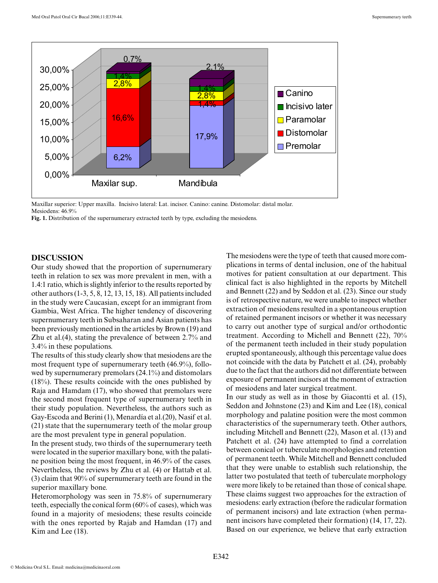

Maxillar superior: Upper maxilla. Incisivo lateral: Lat. incisor. Canino: canine. Distomolar: distal molar. Mesiodens: 46.9%

Fig. 1. Distribution of the supernumerary extracted teeth by type, excluding the mesiodens.

#### **DISCUSSION**

Our study showed that the proportion of supernumerary teeth in relation to sex was more prevalent in men, with a 1.4:1 ratio, which is slightly inferior to the results reported by other authors (1-3, 5, 8, 12, 13, 15, 18). All patients included in the study were Caucasian, except for an immigrant from Gambia, West Africa. The higher tendency of discovering supernumerary teeth in Subsaharan and Asian patients has been previously mentioned in the articles by Brown (19) and Zhu et al.(4), stating the prevalence of between 2.7% and 3.4% in these populations.

The results of this study clearly show that mesiodens are the most frequent type of supernumerary teeth (46.9%), followed by supernumerary premolars (24.1%) and distomolars (18%). These results coincide with the ones published by Raja and Hamdam (17), who showed that premolars were the second most frequent type of supernumerary teeth in their study population. Nevertheless, the authors such as Gay-Escoda and Berini (1), Menardía et al.(20), Nasif et al. (21) state that the supernumerary teeth of the molar group are the most prevalent type in general population.

In the present study, two thirds of the supernumerary teeth were located in the superior maxillary bone, with the palatine position being the most frequent, in 46.9% of the cases. Nevertheless, the reviews by Zhu et al. (4) or Hattab et al. (3) claim that 90% of supernumerary teeth are found in the superior maxillary bone.

Heteromorphology was seen in 75.8% of supernumerary teeth, especially the conical form (60% of cases), which was found in a majority of mesiodens; these results coincide with the ones reported by Rajab and Hamdan (17) and Kim and Lee (18).

The mesiodens were the type of teeth that caused more complications in terms of dental inclusion, one of the habitual motives for patient consultation at our department. This clinical fact is also highlighted in the reports by Mitchell and Bennett (22) and by Seddon et al. (23). Since our study is of retrospective nature, we were unable to inspect whether extraction of mesiodens resulted in a spontaneous eruption of retained permanent incisors or whether it was necessary to carry out another type of surgical and/or orthodontic treatment. According to Michell and Bennett (22), 70% of the permanent teeth included in their study population erupted spontaneously, although this percentage value does not coincide with the data by Patchett et al. (24), probably due to the fact that the authors did not differentiate between exposure of permanent incisors at the moment of extraction of mesiodens and later surgical treatment.

In our study as well as in those by Giacontti et al. (15), Seddon and Johnstone (23) and Kim and Lee (18), conical morphology and palatine position were the most common characteristics of the supernumerary teeth. Other authors, including Mitchell and Bennett (22), Mason et al. (13) and Patchett et al. (24) have attempted to find a correlation between conical or tuberculate morphologies and retention of permanent teeth. While Mitchell and Bennett concluded that they were unable to establish such relationship, the latter two postulated that teeth of tuberculate morphology were more likely to be retained than those of conical shape. These claims suggest two approaches for the extraction of mesiodens: early extraction (before the radicular formation of permanent incisors) and late extraction (when permanent incisors have completed their formation) (14, 17, 22). Based on our experience, we believe that early extraction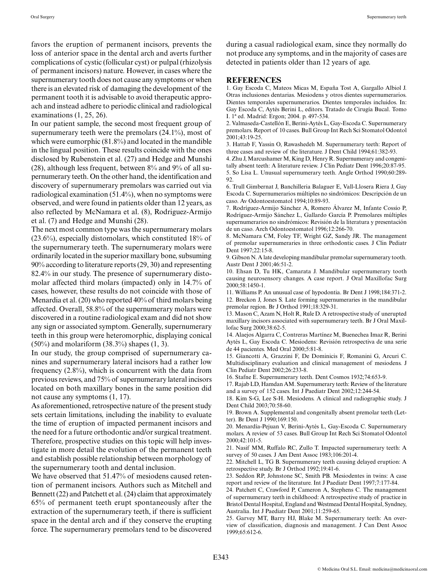favors the eruption of permanent incisors, prevents the loss of anterior space in the dental arch and averts further complications of cystic (follicular cyst) or pulpal (rhizolysis of permanent incisors) nature. However, in cases where the supernumerary tooth does not cause any symptoms or when there is an elevated risk of damaging the development of the permanent tooth it is advisable to avoid therapeutic approach and instead adhere to periodic clinical and radiological examinations (1, 25, 26).

In our patient sample, the second most frequent group of supernumerary teeth were the premolars (24.1%), most of which were eumorphic (81.8%) and located in the mandible in the lingual position. These results coincide with the ones disclosed by Rubenstein et al. (27) and Hedge and Munshi (28), although less frequent, between 8% and 9% of all supernumerary teeth. On the other hand, the identification and discovery of supernumerary premolars was carried out via radiological examination (51.4%), when no symptoms were observed, and were found in patients older than 12 years, as also reflected by McNamara et al. (8), Rodriguez-Armijo et al. (7) and Hedge and Munshi (28).

The next most common type was the supernumerary molars (23.6%), especially distomolars, which constituted 18% of the supernumerary teeth. The supernumerary molars were ordinarily located in the superior maxillary bone, subsuming 90% according to literature reports (29, 30) and representing 82.4% in our study. The presence of supernumerary distomolar affected third molars (impacted) only in 14.7% of cases, however, these results do not coincide with those of Menardia et al. (20) who reported 40% of third molars being affected. Overall, 58.8% of the supernumerary molars were discovered in a routine radiological exam and did not show any sign or associated symptom. Generally, supernumerary teeth in this group were heteromorphic, displaying conical  $(50\%)$  and molariform  $(38.3\%)$  shapes  $(1, 3)$ .

In our study, the group comprised of supernumerary canines and supernumerary lateral incisors had a rather low frequency (2.8%), which is concurrent with the data from previous reviews, and 75% of supernumerary lateral incisors located on both maxillary bones in the same position did not cause any symptoms (1, 17).

As aforementioned, retrospective nature of the present study sets certain limitations, including the inability to evaluate the time of eruption of impacted permanent incisors and the need for a future orthodontic and/or surgical treatment. Therefore, prospective studies on this topic will help investigate in more detail the evolution of the permanent teeth and establish possible relationship between morphology of the supernumerary tooth and dental inclusion.

We have observed that 51.47% of mesiodens caused retention of permanent incisors. Authors such as Mitchell and Bennett (22) and Patchett et al. (24) claim that approximately 65% of permanent teeth erupt spontaneously after the extraction of the supernumerary teeth, if there is sufficient space in the dental arch and if they conserve the erupting force. The supernumerary premolars tend to be discovered during a casual radiological exam, since they normally do not produce any symptoms, and in the majority of cases are detected in patients older than 12 years of age.

#### **REFERENCES**

1. Gay Escoda C, Mateos Micas M, España Tost A, Gargallo Albiol J. Otras inclusiones dentarias. Mesiodens y otros dientes supernumerarios. Dientes temporales supernumerarios. Dientes temporales incluidos. In: Gay Escoda C, Aytés Berini L, editors. Tratado de Cirugía Bucal. Tomo I. 1ª ed. Madrid: Ergon; 2004. p. 497-534.

2. Valmaseda-Castellón E, Berini-Aytés L, Gay-Escoda C. Supernumerary premolars. Report of 10 cases. Bull Group Int Rech Sci Stomatol Odontol 2001;43:19-25.

3. Hattab F, Yassin O, Rawashedeh M. Supernumerary teeth: Report of three cases and review of the literature. J Dent Child 1994;61:382-93.

4. Zhu J, Marcushamer M, King D, Henry R. Supernumerary and congenitally absent teeth: A literature review. J Clin Pediatr Dent 1996;20:87-95. 5. So Lisa L. Unusual supernumerary teeth. Angle Orthod 1990;60:289- 92.

6. Trull Gimbernat J, Banchilleria Balaguer E, Vall-Llosera Riera J, Gay Escoda C. Supernumerarios múltiples no sindrómicos: Descripción de un caso. Av Odontoestomatol 1994;10:89-93.

7. Rodríguez-Armijo Sánchez A, Romero Álvarez M, Infante Cossío P, Rodríguez-Armijo Sánchez L, Gallardo García P. Premolares múltiples supernumerarios no sindrómicos: Revisión de la literatura y presentación de un caso. Arch Odontoestomatol 1996;12:266-70.

8. McNamara CM, Foley TF, Wright GZ, Sandy JR. The management of premolar supernumeraries in three orthodontic cases. J Clin Pediatr Dent 1997;22:15-8.

9. Gibson N. A late developing mandibular premolar supernumerary tooth. Austr Dent J 2001;46:51-2.

10. Ehsan D, Tu HK, Camarata J. Mandibular supernumerary tooth causing neurosensory changes. A case report. J Oral Maxillofac Surg 2000;58:1450-1.

11. Williams P. An unusual case of hypodontia. Br Dent J 1998;184:371-2. 12. Breckon J, Jones S. Late forming supernumeraries in the mandibular premolar region. Br J Orthod 1991;18:329-31.

13. Mason C, Azam N, Holt R, Rule D. A retrospective study of unerupted maxillary incisors associated with supernumerary teeth. Br J Oral Maxillofac Surg 2000;38:62-5.

14. Alaejos Algarra C, Contreras Martínez M, Buenechea Imaz R, Berini Aytés L, Gay Escoda C. Mesiodens: Revisión retrospectiva de una serie de 44 pacientes. Med Oral 2000;5:81-8.

15. Giancotti A, Grazzini F, De Dominicis F, Romanini G, Arcuri C. Multidisciplinary evaluation and clinical management of mesiodens. J Clin Pediatr Dent 2002;26:233-8.

16. Stafne E. Supernumerary teeth. Dent Cosmos 1932;74:653-9.

17. Rajab LD, Hamdan AM. Supernumerary teeth: Review of the literature and a survey of 152 cases. Int J Paediatr Dent 2002;12:244-54.

18. Kim S-G, Lee S-H. Mesiodens. A clinical and radiographic study. J Dent Child 2003;70:58-60.

19. Brown A. Supplemental and congenitally absent premolar teeth (Letter). Br Dent J 1990;169:150.

20. Menardía-Pejuan V, Berini-Aytés L, Gay-Escoda C. Supernumerary molars. A review of 53 cases. Bull Group Int Rech Sci Stomatol Odontol 2000;42:101-5.

21. Nasif MM, Ruffalo RC, Zullo T. Impacted supernumerary teeth: A survey of 50 cases. J Am Dent Assoc 1983;106:201-4.

22. Mitchell L, TG B. Supernumerary teeth causing delayed eruption: A retrospective study. Br J Orthod 1992;19:41-6.

23. Seddon RP, Johnstone SC, Smith PB. Mesiodentes in twins: A case report and review of the literature. Int J Paediatr Dent 1997;7:177-84.

24. Patchett C, Crawford P, Cameron A, Stephens C. The management of supernumerary teeth in childhood: A retrospective study of practice in Bristol Dental Hospital, England and Westmead Dental Hospital, Syndney, Australia. Int J Paediatr Dent 2001;11:259-65.

25. Garvey MT, Barry HJ, Blake M. Supernumerary teeth: An overview of classification, diagnosis and management. J Can Dent Assoc 1999;65:612-6.